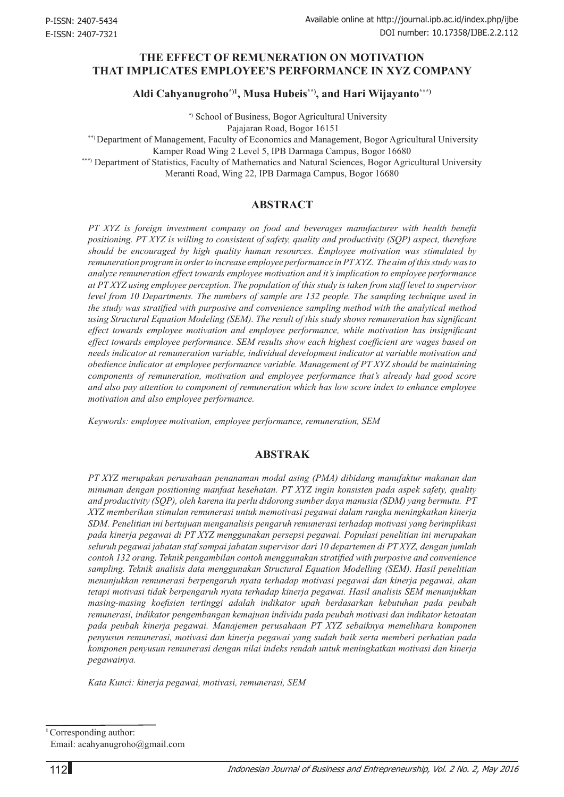# **THE EFFECT OF REMUNERATION ON MOTIVATION THAT IMPLICATES EMPLOYEE'S PERFORMANCE IN XYZ COMPANY**

**Aldi Cahyanugroho\*)1, Musa Hubeis\*\*), and Hari Wijayanto\*\*\*)**

 \*) School of Business, Bogor Agricultural University Pajajaran Road, Bogor 16151

\*\*) Department of Management, Faculty of Economics and Management, Bogor Agricultural University Kamper Road Wing 2 Level 5, IPB Darmaga Campus, Bogor 16680

\*\*\*) Department of Statistics, Faculty of Mathematics and Natural Sciences, Bogor Agricultural University Meranti Road, Wing 22, IPB Darmaga Campus, Bogor 16680

### **ABSTRACT**

*PT XYZ is foreign investment company on food and beverages manufacturer with health benefit positioning. PT XYZ is willing to consistent of safety, quality and productivity (SQP) aspect, therefore should be encouraged by high quality human resources. Employee motivation was stimulated by remuneration program in order to increase employee performance in PT XYZ. The aim of this study was to analyze remuneration effect towards employee motivation and it's implication to employee performance at PT XYZ using employee perception. The population of this study is taken from staff level to supervisor level from 10 Departments. The numbers of sample are 132 people. The sampling technique used in the study was stratified with purposive and convenience sampling method with the analytical method using Structural Equation Modeling (SEM). The result of this study shows remuneration has significant effect towards employee motivation and employee performance, while motivation has insignificant effect towards employee performance. SEM results show each highest coefficient are wages based on needs indicator at remuneration variable, individual development indicator at variable motivation and obedience indicator at employee performance variable. Management of PT XYZ should be maintaining components of remuneration, motivation and employee performance that's already had good score and also pay attention to component of remuneration which has low score index to enhance employee motivation and also employee performance.*

*Keywords: employee motivation, employee performance, remuneration, SEM*

### **ABSTRAK**

*PT XYZ merupakan perusahaan penanaman modal asing (PMA) dibidang manufaktur makanan dan minuman dengan positioning manfaat kesehatan. PT XYZ ingin konsisten pada aspek safety, quality and productivity (SQP), oleh karena itu perlu didorong sumber daya manusia (SDM) yang bermutu. PT XYZ memberikan stimulan remunerasi untuk memotivasi pegawai dalam rangka meningkatkan kinerja SDM. Penelitian ini bertujuan menganalisis pengaruh remunerasi terhadap motivasi yang berimplikasi pada kinerja pegawai di PT XYZ menggunakan persepsi pegawai. Populasi penelitian ini merupakan seluruh pegawai jabatan staf sampai jabatan supervisor dari 10 departemen di PT XYZ, dengan jumlah contoh 132 orang. Teknik pengambilan contoh menggunakan stratified with purposive and convenience sampling. Teknik analisis data menggunakan Structural Equation Modelling (SEM). Hasil penelitian menunjukkan remunerasi berpengaruh nyata terhadap motivasi pegawai dan kinerja pegawai, akan tetapi motivasi tidak berpengaruh nyata terhadap kinerja pegawai. Hasil analisis SEM menunjukkan masing-masing koefisien tertinggi adalah indikator upah berdasarkan kebutuhan pada peubah remunerasi, indikator pengembangan kemajuan individu pada peubah motivasi dan indikator ketaatan pada peubah kinerja pegawai. Manajemen perusahaan PT XYZ sebaiknya memelihara komponen penyusun remunerasi, motivasi dan kinerja pegawai yang sudah baik serta memberi perhatian pada komponen penyusun remunerasi dengan nilai indeks rendah untuk meningkatkan motivasi dan kinerja pegawainya.*

*Kata Kunci: kinerja pegawai, motivasi, remunerasi, SEM*

**<sup>1</sup>**Corresponding author: Email: acahyanugroho@gmail.com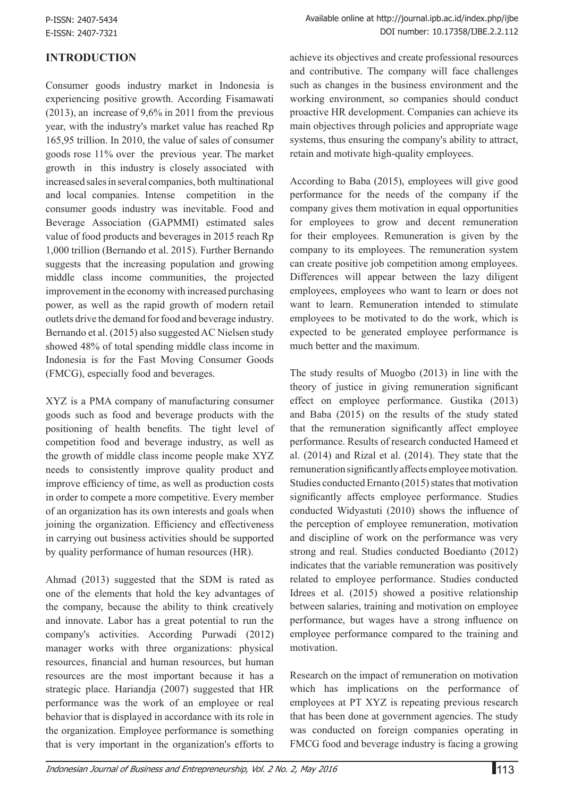# **INTRODUCTION**

Consumer goods industry market in Indonesia is experiencing positive growth. According Fisamawati (2013), an increase of 9,6% in 2011 from the previous year, with the industry's market value has reached Rp 165,95 trillion. In 2010, the value of sales of consumer goods rose 11% over the previous year. The market growth in this industry is closely associated with increased sales in several companies, both multinational and local companies. Intense competition in the consumer goods industry was inevitable. Food and Beverage Association (GAPMMI) estimated sales value of food products and beverages in 2015 reach Rp 1,000 trillion (Bernando et al. 2015). Further Bernando suggests that the increasing population and growing middle class income communities, the projected improvement in the economy with increased purchasing power, as well as the rapid growth of modern retail outlets drive the demand for food and beverage industry. Bernando et al. (2015) also suggested AC Nielsen study showed 48% of total spending middle class income in Indonesia is for the Fast Moving Consumer Goods (FMCG), especially food and beverages.

XYZ is a PMA company of manufacturing consumer goods such as food and beverage products with the positioning of health benefits. The tight level of competition food and beverage industry, as well as the growth of middle class income people make XYZ needs to consistently improve quality product and improve efficiency of time, as well as production costs in order to compete a more competitive. Every member of an organization has its own interests and goals when joining the organization. Efficiency and effectiveness in carrying out business activities should be supported by quality performance of human resources (HR).

Ahmad (2013) suggested that the SDM is rated as one of the elements that hold the key advantages of the company, because the ability to think creatively and innovate. Labor has a great potential to run the company's activities. According Purwadi (2012) manager works with three organizations: physical resources, financial and human resources, but human resources are the most important because it has a strategic place. Hariandja (2007) suggested that HR performance was the work of an employee or real behavior that is displayed in accordance with its role in the organization. Employee performance is something that is very important in the organization's efforts to

achieve its objectives and create professional resources and contributive. The company will face challenges such as changes in the business environment and the working environment, so companies should conduct proactive HR development. Companies can achieve its main objectives through policies and appropriate wage systems, thus ensuring the company's ability to attract, retain and motivate high-quality employees.

According to Baba (2015), employees will give good performance for the needs of the company if the company gives them motivation in equal opportunities for employees to grow and decent remuneration for their employees. Remuneration is given by the company to its employees. The remuneration system can create positive job competition among employees. Differences will appear between the lazy diligent employees, employees who want to learn or does not want to learn. Remuneration intended to stimulate employees to be motivated to do the work, which is expected to be generated employee performance is much better and the maximum.

The study results of Muogbo (2013) in line with the theory of justice in giving remuneration significant effect on employee performance. Gustika (2013) and Baba (2015) on the results of the study stated that the remuneration significantly affect employee performance. Results of research conducted Hameed et al. (2014) and Rizal et al. (2014). They state that the remuneration significantly affects employee motivation. Studies conducted Ernanto (2015) states that motivation significantly affects employee performance. Studies conducted Widyastuti (2010) shows the influence of the perception of employee remuneration, motivation and discipline of work on the performance was very strong and real. Studies conducted Boedianto (2012) indicates that the variable remuneration was positively related to employee performance. Studies conducted Idrees et al. (2015) showed a positive relationship between salaries, training and motivation on employee performance, but wages have a strong influence on employee performance compared to the training and motivation.

Research on the impact of remuneration on motivation which has implications on the performance of employees at PT XYZ is repeating previous research that has been done at government agencies. The study was conducted on foreign companies operating in FMCG food and beverage industry is facing a growing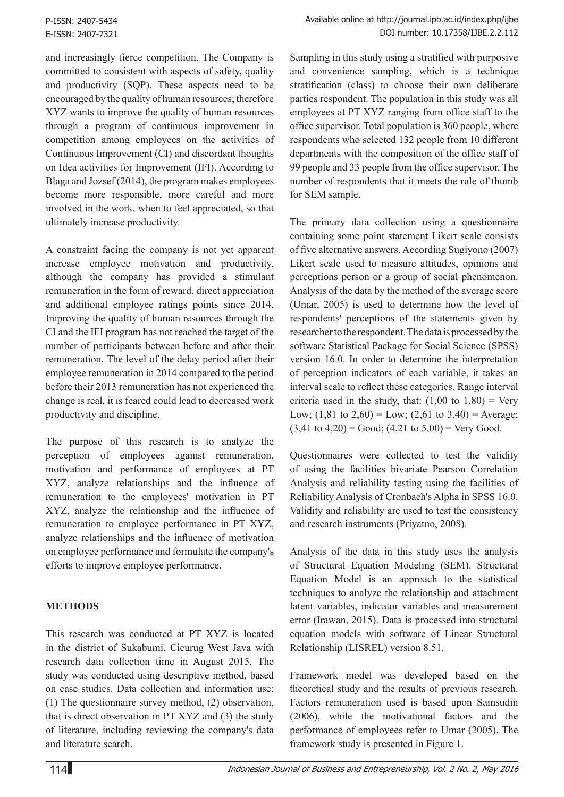and increasingly fierce competition. The Company is committed to consistent with aspects of safety, quality and productivity (SQP). These aspects need to be encouraged by the quality of human resources; therefore XYZ wants to improve the quality of human resources through a program of continuous improvement in competition among employees on the activities of Continuous Improvement (CI) and discordant thoughts on Idea activities for Improvement (IFI). According to Blaga and Jozsef (2014), the program makes employees become more responsible, more careful and more involved in the work, when to feel appreciated, so that ultimately increase productivity.

A constraint facing the company is not yet apparent increase employee motivation and productivity, although the company has provided a stimulant remuneration in the form of reward, direct appreciation and additional employee ratings points since 2014. Improving the quality of human resources through the CI and the IFI program has not reached the target of the number of participants between before and after their remuneration. The level of the delay period after their employee remuneration in 2014 compared to the period before their 2013 remuneration has not experienced the change is real, it is feared could lead to decreased work productivity and discipline.

The purpose of this research is to analyze the perception of employees against remuneration, motivation and performance of employees at PT XYZ, analyze relationships and the influence of remuneration to the employees' motivation in PT XYZ, analyze the relationship and the influence of remuneration to employee performance in PT XYZ, analyze relationships and the influence of motivation on employee performance and formulate the company's efforts to improve employee performance.

# **METHODS**

This research was conducted at PT XYZ is located in the district of Sukabumi, Cicurug West Java with research data collection time in August 2015. The study was conducted using descriptive method, based on case studies. Data collection and information use: (1) The questionnaire survey method, (2) observation, that is direct observation in PT XYZ and (3) the study of literature, including reviewing the company's data and literature search.

Sampling in this study using a stratified with purposive and convenience sampling, which is a technique stratification (class) to choose their own deliberate parties respondent. The population in this study was all employees at PT XYZ ranging from office staff to the office supervisor. Total population is 360 people, where respondents who selected 132 people from 10 different departments with the composition of the office staff of 99 people and 33 people from the office supervisor. The number of respondents that it meets the rule of thumb for SEM sample.

The primary data collection using a questionnaire containing some point statement Likert scale consists of five alternative answers. According Sugiyono (2007) Likert scale used to measure attitudes, opinions and perceptions person or a group of social phenomenon. Analysis of the data by the method of the average score (Umar, 2005) is used to determine how the level of respondents' perceptions of the statements given by researcher to the respondent. The data is processed by the software Statistical Package for Social Science (SPSS) version 16.0. In order to determine the interpretation of perception indicators of each variable, it takes an interval scale to reflect these categories. Range interval criteria used in the study, that:  $(1,00 \text{ to } 1,80) = \text{Very}$ Low;  $(1,81 \text{ to } 2,60) =$ Low;  $(2,61 \text{ to } 3,40) =$ Average;  $(3,41 \text{ to } 4,20) = \text{Good}$ ;  $(4,21 \text{ to } 5,00) = \text{Very Good.}$ 

Questionnaires were collected to test the validity of using the facilities bivariate Pearson Correlation Analysis and reliability testing using the facilities of Reliability Analysis of Cronbach's Alpha in SPSS 16.0. Validity and reliability are used to test the consistency and research instruments (Priyatno, 2008).

Analysis of the data in this study uses the analysis of Structural Equation Modeling (SEM). Structural Equation Model is an approach to the statistical techniques to analyze the relationship and attachment latent variables, indicator variables and measurement error (Irawan, 2015). Data is processed into structural equation models with software of Linear Structural Relationship (LISREL) version 8.51.

Framework model was developed based on the theoretical study and the results of previous research. Factors remuneration used is based upon Samsudin (2006), while the motivational factors and the performance of employees refer to Umar (2005). The framework study is presented in Figure 1.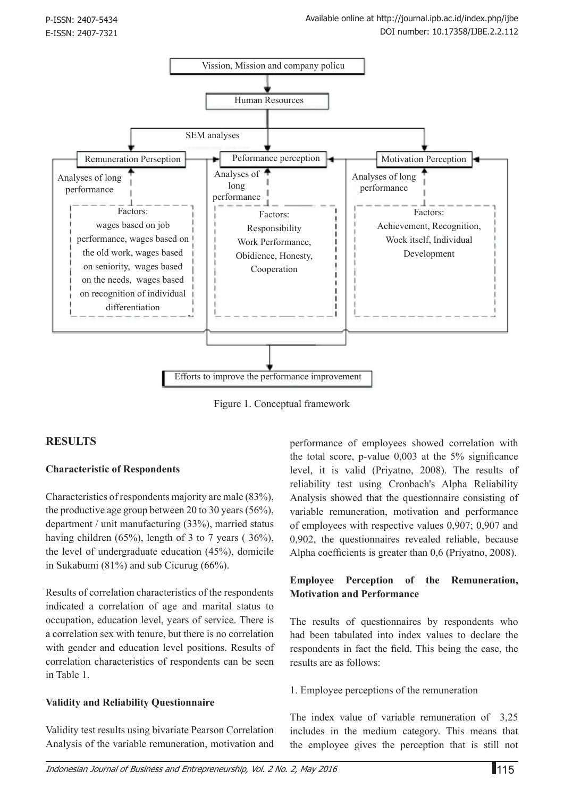

Figure 1. Conceptual framework

# **RESULTS**

### **Characteristic of Respondents**

Characteristics of respondents majority are male (83%), the productive age group between 20 to 30 years (56%), department / unit manufacturing (33%), married status having children  $(65\%)$ , length of 3 to 7 years (36%), the level of undergraduate education (45%), domicile in Sukabumi (81%) and sub Cicurug (66%).

Results of correlation characteristics of the respondents indicated a correlation of age and marital status to occupation, education level, years of service. There is a correlation sex with tenure, but there is no correlation with gender and education level positions. Results of correlation characteristics of respondents can be seen in Table 1.

### **Validity and Reliability Questionnaire**

Validity test results using bivariate Pearson Correlation Analysis of the variable remuneration, motivation and

performance of employees showed correlation with the total score, p-value 0,003 at the 5% significance level, it is valid (Priyatno, 2008). The results of reliability test using Cronbach's Alpha Reliability Analysis showed that the questionnaire consisting of variable remuneration, motivation and performance of employees with respective values 0,907; 0,907 and 0,902, the questionnaires revealed reliable, because Alpha coefficients is greater than 0,6 (Priyatno, 2008).

## **Employee Perception of the Remuneration, Motivation and Performance**

The results of questionnaires by respondents who had been tabulated into index values to declare the respondents in fact the field. This being the case, the results are as follows:

1. Employee perceptions of the remuneration

The index value of variable remuneration of 3,25 includes in the medium category. This means that the employee gives the perception that is still not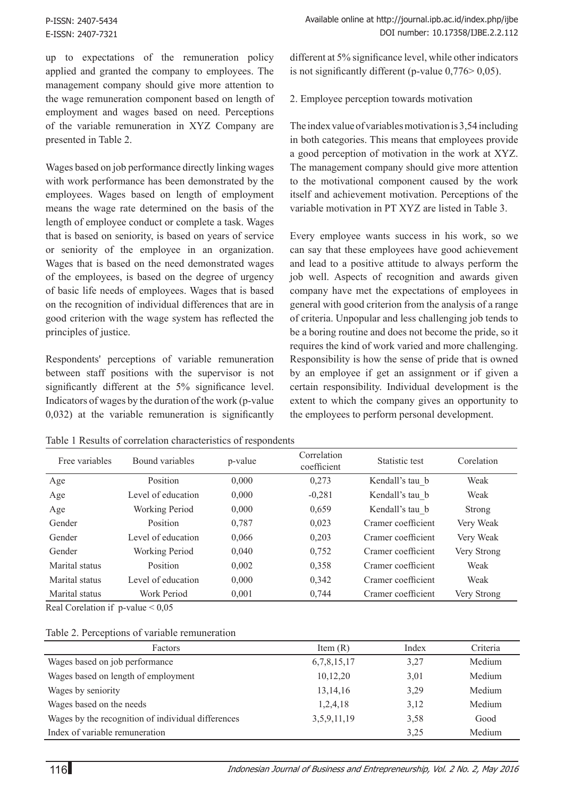up to expectations of the remuneration policy applied and granted the company to employees. The management company should give more attention to the wage remuneration component based on length of employment and wages based on need. Perceptions of the variable remuneration in XYZ Company are presented in Table 2.

Wages based on job performance directly linking wages with work performance has been demonstrated by the employees. Wages based on length of employment means the wage rate determined on the basis of the length of employee conduct or complete a task. Wages that is based on seniority, is based on years of service or seniority of the employee in an organization. Wages that is based on the need demonstrated wages of the employees, is based on the degree of urgency of basic life needs of employees. Wages that is based on the recognition of individual differences that are in good criterion with the wage system has reflected the principles of justice.

Respondents' perceptions of variable remuneration between staff positions with the supervisor is not significantly different at the 5% significance level. Indicators of wages by the duration of the work (p-value 0,032) at the variable remuneration is significantly

different at 5% significance level, while other indicators is not significantly different (p-value 0,776> 0,05).

2. Employee perception towards motivation

The index value of variables motivation is 3,54 including in both categories. This means that employees provide a good perception of motivation in the work at XYZ. The management company should give more attention to the motivational component caused by the work itself and achievement motivation. Perceptions of the variable motivation in PT XYZ are listed in Table 3.

Every employee wants success in his work, so we can say that these employees have good achievement and lead to a positive attitude to always perform the job well. Aspects of recognition and awards given company have met the expectations of employees in general with good criterion from the analysis of a range of criteria. Unpopular and less challenging job tends to be a boring routine and does not become the pride, so it requires the kind of work varied and more challenging. Responsibility is how the sense of pride that is owned by an employee if get an assignment or if given a certain responsibility. Individual development is the extent to which the company gives an opportunity to the employees to perform personal development.

| Free variables | Bound variables       | p-value | Correlation<br>coefficient | Statistic test     | Corelation    |
|----------------|-----------------------|---------|----------------------------|--------------------|---------------|
| Age            | Position              | 0,000   | 0,273                      | Kendall's tau b    | Weak          |
| Age            | Level of education    | 0,000   | $-0,281$                   | Kendall's tau b    | Weak          |
| Age            | <b>Working Period</b> | 0.000   | 0,659                      | Kendall's tau b    | <b>Strong</b> |
| Gender         | <b>Position</b>       | 0,787   | 0,023                      | Cramer coefficient | Very Weak     |
| Gender         | Level of education    | 0.066   | 0,203                      | Cramer coefficient | Very Weak     |
| Gender         | <b>Working Period</b> | 0,040   | 0,752                      | Cramer coefficient | Very Strong   |
| Marital status | Position              | 0.002   | 0,358                      | Cramer coefficient | Weak          |
| Marital status | Level of education    | 0,000   | 0,342                      | Cramer coefficient | Weak          |
| Marital status | Work Period           | 0,001   | 0,744                      | Cramer coefficient | Very Strong   |

Table 1 Results of correlation characteristics of respondents

Real Corelation if p-value < 0,05

### Table 2. Perceptions of variable remuneration

| Factors                                            | Item $(R)$  | Index | Criteria |
|----------------------------------------------------|-------------|-------|----------|
| Wages based on job performance                     | 6,7,8,15,17 | 3,27  | Medium   |
| Wages based on length of employment                | 10,12,20    | 3,01  | Medium   |
| Wages by seniority                                 | 13, 14, 16  | 3,29  | Medium   |
| Wages based on the needs                           | 1,2,4,18    | 3,12  | Medium   |
| Wages by the recognition of individual differences | 3,5,9,11,19 | 3,58  | Good     |
| Index of variable remuneration                     |             | 3,25  | Medium   |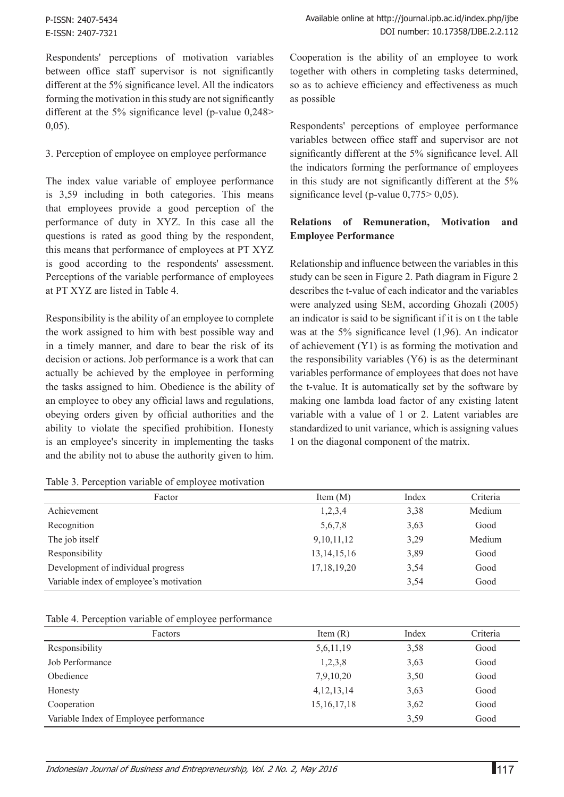P-ISSN: 2407-5434 E-ISSN: 2407-7321

Respondents' perceptions of motivation variables between office staff supervisor is not significantly different at the 5% significance level. All the indicators forming the motivation in this study are not significantly different at the 5% significance level (p-value 0,248> 0,05).

#### 3. Perception of employee on employee performance

The index value variable of employee performance is 3,59 including in both categories. This means that employees provide a good perception of the performance of duty in XYZ. In this case all the questions is rated as good thing by the respondent, this means that performance of employees at PT XYZ is good according to the respondents' assessment. Perceptions of the variable performance of employees at PT XYZ are listed in Table 4.

Responsibility is the ability of an employee to complete the work assigned to him with best possible way and in a timely manner, and dare to bear the risk of its decision or actions. Job performance is a work that can actually be achieved by the employee in performing the tasks assigned to him. Obedience is the ability of an employee to obey any official laws and regulations, obeying orders given by official authorities and the ability to violate the specified prohibition. Honesty is an employee's sincerity in implementing the tasks and the ability not to abuse the authority given to him.

Cooperation is the ability of an employee to work together with others in completing tasks determined, so as to achieve efficiency and effectiveness as much as possible

Respondents' perceptions of employee performance variables between office staff and supervisor are not significantly different at the 5% significance level. All the indicators forming the performance of employees in this study are not significantly different at the 5% significance level (p-value 0,775 > 0,05).

## **Relations of Remuneration, Motivation and Employee Performance**

Relationship and influence between the variables in this study can be seen in Figure 2. Path diagram in Figure 2 describes the t-value of each indicator and the variables were analyzed using SEM, according Ghozali (2005) an indicator is said to be significant if it is on t the table was at the 5% significance level (1,96). An indicator of achievement (Y1) is as forming the motivation and the responsibility variables (Y6) is as the determinant variables performance of employees that does not have the t-value. It is automatically set by the software by making one lambda load factor of any existing latent variable with a value of 1 or 2. Latent variables are standardized to unit variance, which is assigning values 1 on the diagonal component of the matrix.

| Factor                                  | Item $(M)$     | Index | Criteria |  |  |
|-----------------------------------------|----------------|-------|----------|--|--|
| Achievement                             | 1,2,3,4        | 3,38  | Medium   |  |  |
| Recognition                             | 5,6,7,8        | 3,63  | Good     |  |  |
| The job itself                          | 9, 10, 11, 12  | 3,29  | Medium   |  |  |
| Responsibility                          | 13, 14, 15, 16 | 3,89  | Good     |  |  |
| Development of individual progress      | 17, 18, 19, 20 | 3,54  | Good     |  |  |
| Variable index of employee's motivation |                | 3,54  | Good     |  |  |

### Table 4. Perception variable of employee performance

| Factors                                | Item $(R)$     | Index | Criteria |
|----------------------------------------|----------------|-------|----------|
| Responsibility                         | 5,6,11,19      | 3,58  | Good     |
| Job Performance                        | 1,2,3,8        | 3,63  | Good     |
| Obedience                              | 7,9,10,20      | 3,50  | Good     |
| Honesty                                | 4, 12, 13, 14  | 3,63  | Good     |
| Cooperation                            | 15, 16, 17, 18 | 3,62  | Good     |
| Variable Index of Employee performance |                | 3,59  | Good     |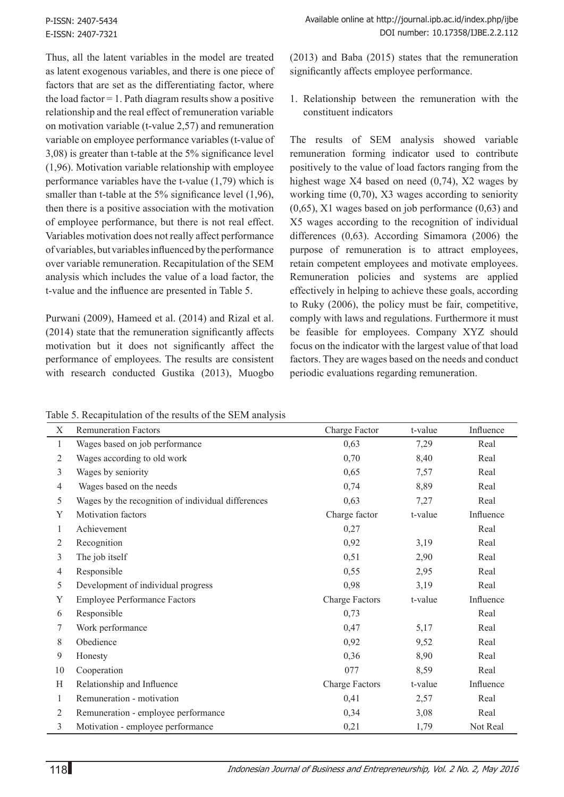Thus, all the latent variables in the model are treated as latent exogenous variables, and there is one piece of factors that are set as the differentiating factor, where the load factor  $= 1$ . Path diagram results show a positive relationship and the real effect of remuneration variable on motivation variable (t-value 2,57) and remuneration variable on employee performance variables (t-value of 3,08) is greater than t-table at the 5% significance level (1,96). Motivation variable relationship with employee performance variables have the t-value (1,79) which is smaller than t-table at the 5% significance level (1,96), then there is a positive association with the motivation of employee performance, but there is not real effect. Variables motivation does not really affect performance of variables, but variables influenced by the performance over variable remuneration. Recapitulation of the SEM analysis which includes the value of a load factor, the t-value and the influence are presented in Table 5.

Purwani (2009), Hameed et al. (2014) and Rizal et al. (2014) state that the remuneration significantly affects motivation but it does not significantly affect the performance of employees. The results are consistent with research conducted Gustika (2013), Muogbo (2013) and Baba (2015) states that the remuneration significantly affects employee performance.

1. Relationship between the remuneration with the constituent indicators

The results of SEM analysis showed variable remuneration forming indicator used to contribute positively to the value of load factors ranging from the highest wage X4 based on need (0,74), X2 wages by working time (0,70), X3 wages according to seniority (0,65), X1 wages based on job performance (0,63) and X5 wages according to the recognition of individual differences (0,63). According Simamora (2006) the purpose of remuneration is to attract employees, retain competent employees and motivate employees. Remuneration policies and systems are applied effectively in helping to achieve these goals, according to Ruky (2006), the policy must be fair, competitive, comply with laws and regulations. Furthermore it must be feasible for employees. Company XYZ should focus on the indicator with the largest value of that load factors. They are wages based on the needs and conduct periodic evaluations regarding remuneration.

| Table 5. Recapitulation of the results of the SEM analysis |  |  |
|------------------------------------------------------------|--|--|
|------------------------------------------------------------|--|--|

| Χ  | <b>Remuneration Factors</b>                        | Charge Factor         | t-value | Influence |
|----|----------------------------------------------------|-----------------------|---------|-----------|
| 1  | Wages based on job performance                     | 0,63                  | 7,29    | Real      |
| 2  | Wages according to old work                        | 0,70                  | 8,40    | Real      |
| 3  | Wages by seniority                                 | 0,65                  | 7,57    | Real      |
| 4  | Wages based on the needs                           | 0,74                  | 8,89    | Real      |
| 5  | Wages by the recognition of individual differences | 0,63                  | 7,27    | Real      |
| Y  | Motivation factors                                 | Charge factor         | t-value | Influence |
| 1  | Achievement                                        | 0,27                  |         | Real      |
| 2  | Recognition                                        | 0,92                  | 3,19    | Real      |
| 3  | The job itself                                     | 0,51                  | 2,90    | Real      |
| 4  | Responsible                                        | 0,55                  | 2,95    | Real      |
| 5  | Development of individual progress                 | 0,98                  | 3,19    | Real      |
| Y  | <b>Employee Performance Factors</b>                | <b>Charge Factors</b> | t-value | Influence |
| 6  | Responsible                                        | 0,73                  |         | Real      |
| 7  | Work performance                                   | 0,47                  | 5,17    | Real      |
| 8  | Obedience                                          | 0,92                  | 9,52    | Real      |
| 9  | Honesty                                            | 0,36                  | 8,90    | Real      |
| 10 | Cooperation                                        | 077                   | 8,59    | Real      |
| H  | Relationship and Influence                         | <b>Charge Factors</b> | t-value | Influence |
| 1  | Remuneration - motivation                          | 0,41                  | 2,57    | Real      |
| 2  | Remuneration - employee performance                | 0,34                  | 3,08    | Real      |
| 3  | Motivation - employee performance                  | 0,21                  | 1,79    | Not Real  |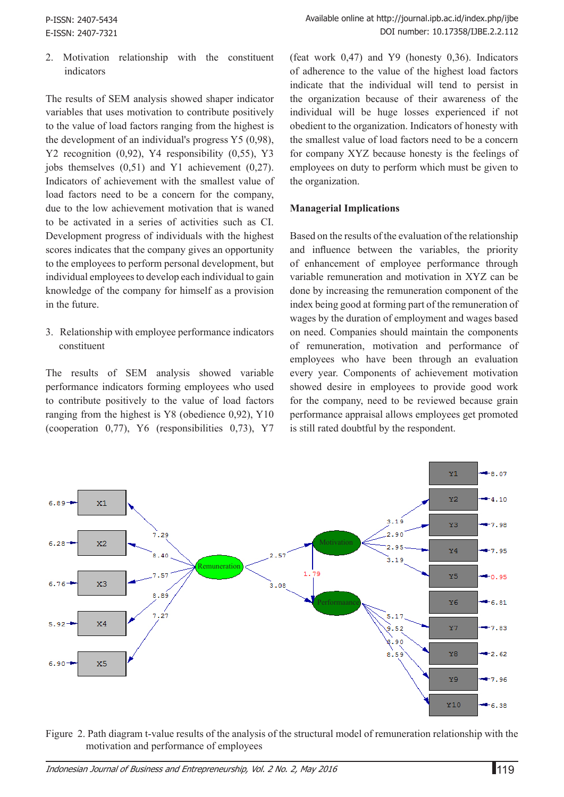2. Motivation relationship with the constituent indicators

The results of SEM analysis showed shaper indicator variables that uses motivation to contribute positively to the value of load factors ranging from the highest is the development of an individual's progress Y5 (0,98), Y2 recognition (0,92), Y4 responsibility (0,55), Y3 jobs themselves (0,51) and Y1 achievement (0,27). Indicators of achievement with the smallest value of load factors need to be a concern for the company, due to the low achievement motivation that is waned to be activated in a series of activities such as CI. Development progress of individuals with the highest scores indicates that the company gives an opportunity to the employees to perform personal development, but individual employees to develop each individual to gain knowledge of the company for himself as a provision in the future.

3. Relationship with employee performance indicators constituent

The results of SEM analysis showed variable performance indicators forming employees who used to contribute positively to the value of load factors ranging from the highest is Y8 (obedience 0,92), Y10 (cooperation 0,77), Y6 (responsibilities 0,73), Y7 (feat work 0,47) and Y9 (honesty 0,36). Indicators of adherence to the value of the highest load factors indicate that the individual will tend to persist in the organization because of their awareness of the individual will be huge losses experienced if not obedient to the organization. Indicators of honesty with the smallest value of load factors need to be a concern for company XYZ because honesty is the feelings of employees on duty to perform which must be given to the organization.

## **Managerial Implications**

Based on the results of the evaluation of the relationship and influence between the variables, the priority of enhancement of employee performance through variable remuneration and motivation in XYZ can be done by increasing the remuneration component of the index being good at forming part of the remuneration of wages by the duration of employment and wages based on need. Companies should maintain the components of remuneration, motivation and performance of employees who have been through an evaluation every year. Components of achievement motivation showed desire in employees to provide good work for the company, need to be reviewed because grain performance appraisal allows employees get promoted is still rated doubtful by the respondent.



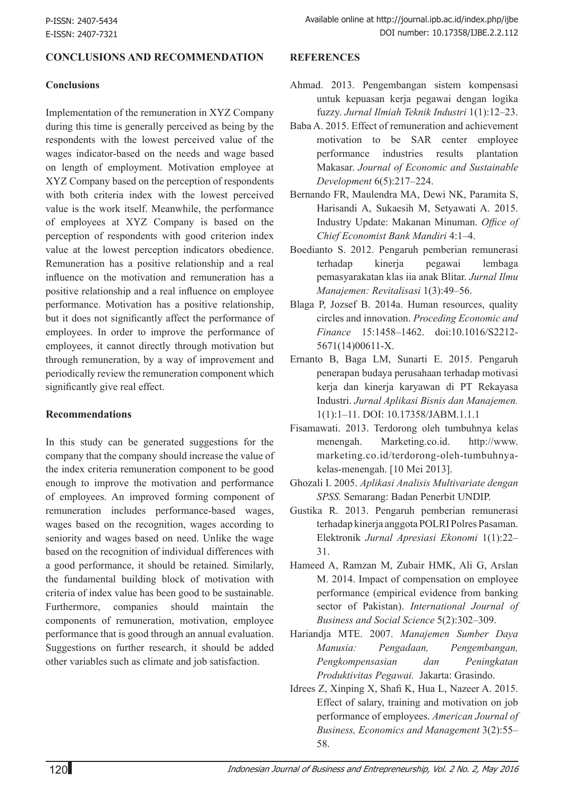## **CONCLUSIONS AND RECOMMENDATION**

#### **Conclusions**

Implementation of the remuneration in XYZ Company during this time is generally perceived as being by the respondents with the lowest perceived value of the wages indicator-based on the needs and wage based on length of employment. Motivation employee at XYZ Company based on the perception of respondents with both criteria index with the lowest perceived value is the work itself. Meanwhile, the performance of employees at XYZ Company is based on the perception of respondents with good criterion index value at the lowest perception indicators obedience. Remuneration has a positive relationship and a real influence on the motivation and remuneration has a positive relationship and a real influence on employee performance. Motivation has a positive relationship, but it does not significantly affect the performance of employees. In order to improve the performance of employees, it cannot directly through motivation but through remuneration, by a way of improvement and periodically review the remuneration component which significantly give real effect.

#### **Recommendations**

In this study can be generated suggestions for the company that the company should increase the value of the index criteria remuneration component to be good enough to improve the motivation and performance of employees. An improved forming component of remuneration includes performance-based wages, wages based on the recognition, wages according to seniority and wages based on need. Unlike the wage based on the recognition of individual differences with a good performance, it should be retained. Similarly, the fundamental building block of motivation with criteria of index value has been good to be sustainable. Furthermore, companies should maintain the components of remuneration, motivation, employee performance that is good through an annual evaluation. Suggestions on further research, it should be added other variables such as climate and job satisfaction.

#### **REFERENCES**

- Ahmad. 2013. Pengembangan sistem kompensasi untuk kepuasan kerja pegawai dengan logika fuzzy. *Jurnal Ilmiah Teknik Industri* 1(1):12–23.
- Baba A. 2015. Effect of remuneration and achievement motivation to be SAR center employee performance industries results plantation Makasar. *Journal of Economic and Sustainable Development* 6(5):217–224.
- Bernando FR, Maulendra MA, Dewi NK, Paramita S, Harisandi A, Sukaesih M, Setyawati A. 2015. Industry Update: Makanan Minuman. *Office of Chief Economist Bank Mandiri* 4:1–4.
- Boedianto S. 2012. Pengaruh pemberian remunerasi terhadap kinerja pegawai lembaga pemasyarakatan klas iia anak Blitar. *Jurnal Ilmu Manajemen: Revitalisasi* 1(3):49–56.
- Blaga P, Jozsef B. 2014a. Human resources, quality circles and innovation. *Proceding Economic and Finance* 15:1458–1462. doi:10.1016/S2212- 5671(14)00611-X.
- Ernanto B, Baga LM, Sunarti E. 2015. Pengaruh penerapan budaya perusahaan terhadap motivasi kerja dan kinerja karyawan di PT Rekayasa Industri. *Jurnal Aplikasi Bisnis dan Manajemen.*  1(1):1–11. DOI: 10.17358/JABM.1.1.1
- Fisamawati. 2013. Terdorong oleh tumbuhnya kelas menengah. Marketing.co.id. http://www. marketing.co.id/terdorong-oleh-tumbuhnyakelas-menengah. [10 Mei 2013].
- Ghozali I. 2005. *Aplikasi Analisis Multivariate dengan SPSS.* Semarang: Badan Penerbit UNDIP.
- Gustika R. 2013. Pengaruh pemberian remunerasi terhadap kinerja anggota POLRI Polres Pasaman. Elektronik *Jurnal Apresiasi Ekonomi* 1(1):22– 31.
- Hameed A, Ramzan M, Zubair HMK, Ali G, Arslan M. 2014. Impact of compensation on employee performance (empirical evidence from banking sector of Pakistan). *International Journal of Business and Social Science* 5(2):302–309.
- Hariandja MTE. 2007. *Manajemen Sumber Daya Manusia: Pengadaan, Pengembangan, Pengkompensasian dan Peningkatan Produktivitas Pegawai.* Jakarta: Grasindo.
- Idrees Z, Xinping X, Shafi K, Hua L, Nazeer A. 2015. Effect of salary, training and motivation on job performance of employees. *American Journal of Business, Economics and Management* 3(2):55– 58.